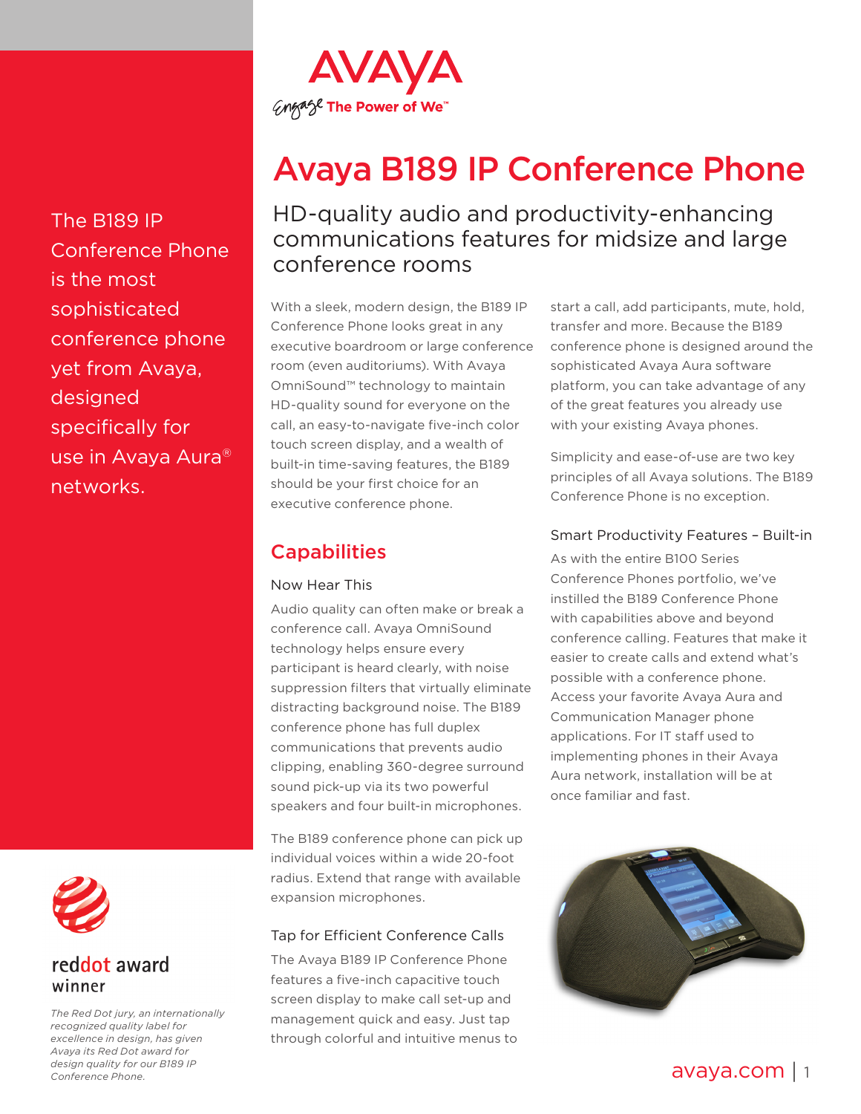

# Avaya B189 IP Conference Phone

HD-quality audio and productivity-enhancing communications features for midsize and large conference rooms

With a sleek, modern design, the B189 IP Conference Phone looks great in any executive boardroom or large conference room (even auditoriums). With Avaya OmniSound™ technology to maintain HD-quality sound for everyone on the call, an easy-to-navigate five-inch color touch screen display, and a wealth of built-in time-saving features, the B189 should be your first choice for an executive conference phone.

**Capabilities** 

#### Now Hear This

Audio quality can often make or break a conference call. Avaya OmniSound technology helps ensure every participant is heard clearly, with noise suppression filters that virtually eliminate distracting background noise. The B189 conference phone has full duplex communications that prevents audio clipping, enabling 360-degree surround sound pick-up via its two powerful speakers and four built-in microphones.

The B189 conference phone can pick up individual voices within a wide 20-foot radius. Extend that range with available expansion microphones.

### Tap for Efficient Conference Calls

The Avaya B189 IP Conference Phone features a five-inch capacitive touch screen display to make call set-up and management quick and easy. Just tap through colorful and intuitive menus to

start a call, add participants, mute, hold, transfer and more. Because the B189 conference phone is designed around the sophisticated Avaya Aura software platform, you can take advantage of any of the great features you already use with your existing Avaya phones.

Simplicity and ease-of-use are two key principles of all Avaya solutions. The B189 Conference Phone is no exception.

#### Smart Productivity Features – Built-in

As with the entire B100 Series Conference Phones portfolio, we've instilled the B189 Conference Phone with capabilities above and beyond conference calling. Features that make it easier to create calls and extend what's possible with a conference phone. Access your favorite Avaya Aura and Communication Manager phone applications. For IT staff used to implementing phones in their Avaya Aura network, installation will be at once familiar and fast.



reddot award winner

The B189 IP

is the most

designed

networks.

sophisticated

Conference Phone

conference phone

use in Avaya Aura®

yet from Avaya,

specifically for

*The Red Dot jury, an internationally recognized quality label for excellence in design, has given Avaya its Red Dot award for design quality for our B189 IP Conference Phone.*